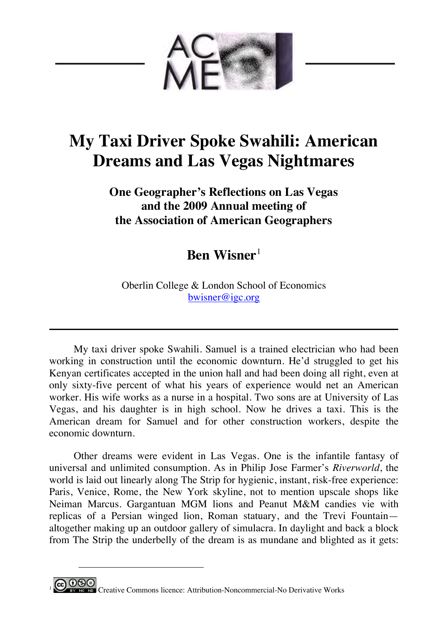

## **My Taxi Driver Spoke Swahili: American Dreams and Las Vegas Nightmares**

**One Geographer's Reflections on Las Vegas and the 2009 Annual meeting of the Association of American Geographers**

**Ben Wisner**<sup>1</sup>

Oberlin College & London School of Economics bwisner@igc.org

My taxi driver spoke Swahili. Samuel is a trained electrician who had been working in construction until the economic downturn. He'd struggled to get his Kenyan certificates accepted in the union hall and had been doing all right, even at only sixty-five percent of what his years of experience would net an American worker. His wife works as a nurse in a hospital. Two sons are at University of Las Vegas, and his daughter is in high school. Now he drives a taxi. This is the American dream for Samuel and for other construction workers, despite the economic downturn.

Other dreams were evident in Las Vegas. One is the infantile fantasy of universal and unlimited consumption. As in Philip Jose Farmer's *Riverworld*, the world is laid out linearly along The Strip for hygienic, instant, risk-free experience: Paris, Venice, Rome, the New York skyline, not to mention upscale shops like Neiman Marcus. Gargantuan MGM lions and Peanut M&M candies vie with replicas of a Persian winged lion, Roman statuary, and the Trevi Fountain altogether making up an outdoor gallery of simulacra. In daylight and back a block from The Strip the underbelly of the dream is as mundane and blighted as it gets:



 $\overline{a}$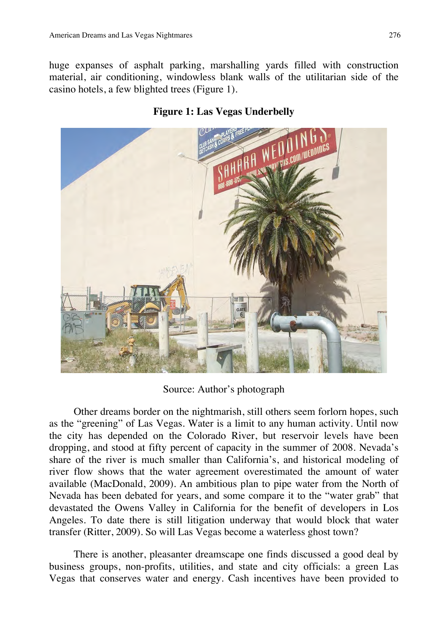huge expanses of asphalt parking, marshalling yards filled with construction material, air conditioning, windowless blank walls of the utilitarian side of the casino hotels, a few blighted trees (Figure 1).



## **Figure 1: Las Vegas Underbelly**

Source: Author's photograph

Other dreams border on the nightmarish, still others seem forlorn hopes, such as the "greening" of Las Vegas. Water is a limit to any human activity. Until now the city has depended on the Colorado River, but reservoir levels have been dropping, and stood at fifty percent of capacity in the summer of 2008. Nevada's share of the river is much smaller than California's, and historical modeling of river flow shows that the water agreement overestimated the amount of water available (MacDonald, 2009). An ambitious plan to pipe water from the North of Nevada has been debated for years, and some compare it to the "water grab" that devastated the Owens Valley in California for the benefit of developers in Los Angeles. To date there is still litigation underway that would block that water transfer (Ritter, 2009). So will Las Vegas become a waterless ghost town?

There is another, pleasanter dreamscape one finds discussed a good deal by business groups, non-profits, utilities, and state and city officials: a green Las Vegas that conserves water and energy. Cash incentives have been provided to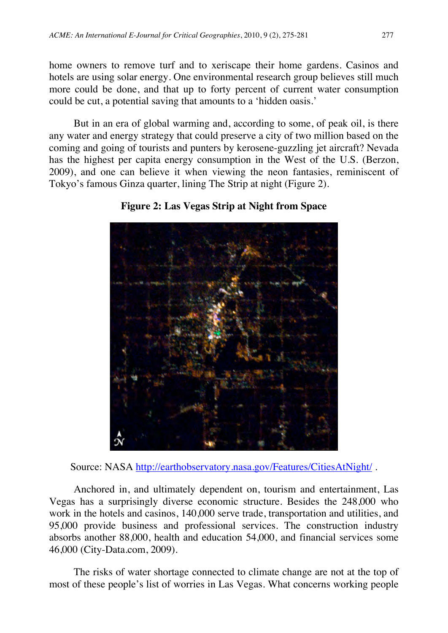home owners to remove turf and to xeriscape their home gardens. Casinos and hotels are using solar energy. One environmental research group believes still much more could be done, and that up to forty percent of current water consumption could be cut, a potential saving that amounts to a 'hidden oasis.'

But in an era of global warming and, according to some, of peak oil, is there any water and energy strategy that could preserve a city of two million based on the coming and going of tourists and punters by kerosene-guzzling jet aircraft? Nevada has the highest per capita energy consumption in the West of the U.S. (Berzon, 2009), and one can believe it when viewing the neon fantasies, reminiscent of Tokyo's famous Ginza quarter, lining The Strip at night (Figure 2).



**Figure 2: Las Vegas Strip at Night from Space**

Source: NASA http://earthobservatory.nasa.gov/Features/CitiesAtNight/.

Anchored in, and ultimately dependent on, tourism and entertainment, Las Vegas has a surprisingly diverse economic structure. Besides the 248,000 who work in the hotels and casinos, 140,000 serve trade, transportation and utilities, and 95,000 provide business and professional services. The construction industry absorbs another 88,000, health and education 54,000, and financial services some 46,000 (City-Data.com, 2009).

The risks of water shortage connected to climate change are not at the top of most of these people's list of worries in Las Vegas. What concerns working people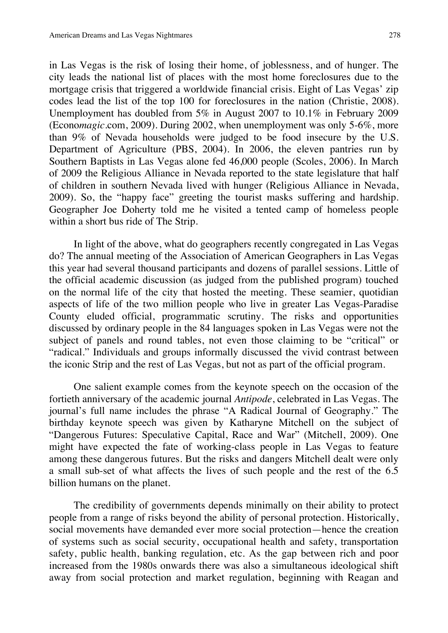in Las Vegas is the risk of losing their home, of joblessness, and of hunger. The city leads the national list of places with the most home foreclosures due to the mortgage crisis that triggered a worldwide financial crisis. Eight of Las Vegas' zip codes lead the list of the top 100 for foreclosures in the nation (Christie, 2008). Unemployment has doubled from 5% in August 2007 to 10.1% in February 2009 (Econo*magic*.com, 2009). During 2002, when unemployment was only 5-6%, more than 9% of Nevada households were judged to be food insecure by the U.S. Department of Agriculture (PBS, 2004). In 2006, the eleven pantries run by Southern Baptists in Las Vegas alone fed 46,000 people (Scoles, 2006). In March of 2009 the Religious Alliance in Nevada reported to the state legislature that half of children in southern Nevada lived with hunger (Religious Alliance in Nevada, 2009). So, the "happy face" greeting the tourist masks suffering and hardship. Geographer Joe Doherty told me he visited a tented camp of homeless people within a short bus ride of The Strip.

In light of the above, what do geographers recently congregated in Las Vegas do? The annual meeting of the Association of American Geographers in Las Vegas this year had several thousand participants and dozens of parallel sessions. Little of the official academic discussion (as judged from the published program) touched on the normal life of the city that hosted the meeting. These seamier, quotidian aspects of life of the two million people who live in greater Las Vegas-Paradise County eluded official, programmatic scrutiny. The risks and opportunities discussed by ordinary people in the 84 languages spoken in Las Vegas were not the subject of panels and round tables, not even those claiming to be "critical" or "radical." Individuals and groups informally discussed the vivid contrast between the iconic Strip and the rest of Las Vegas, but not as part of the official program.

One salient example comes from the keynote speech on the occasion of the fortieth anniversary of the academic journal *Antipode*, celebrated in Las Vegas. The journal's full name includes the phrase "A Radical Journal of Geography." The birthday keynote speech was given by Katharyne Mitchell on the subject of "Dangerous Futures: Speculative Capital, Race and War" (Mitchell, 2009). One might have expected the fate of working-class people in Las Vegas to feature among these dangerous futures. But the risks and dangers Mitchell dealt were only a small sub-set of what affects the lives of such people and the rest of the 6.5 billion humans on the planet.

The credibility of governments depends minimally on their ability to protect people from a range of risks beyond the ability of personal protection. Historically, social movements have demanded ever more social protection—hence the creation of systems such as social security, occupational health and safety, transportation safety, public health, banking regulation, etc. As the gap between rich and poor increased from the 1980s onwards there was also a simultaneous ideological shift away from social protection and market regulation, beginning with Reagan and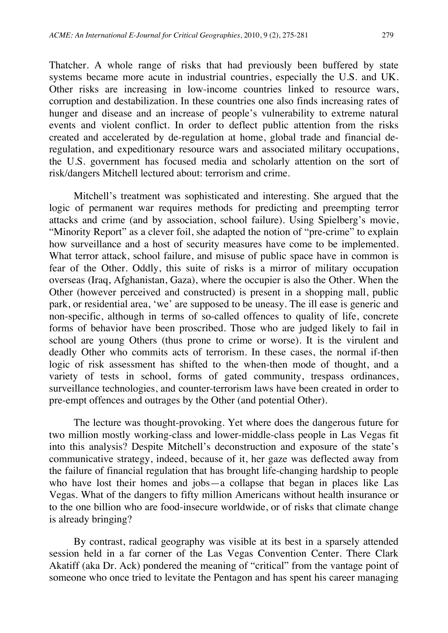Thatcher. A whole range of risks that had previously been buffered by state systems became more acute in industrial countries, especially the U.S. and UK. Other risks are increasing in low-income countries linked to resource wars, corruption and destabilization. In these countries one also finds increasing rates of hunger and disease and an increase of people's vulnerability to extreme natural events and violent conflict. In order to deflect public attention from the risks created and accelerated by de-regulation at home, global trade and financial deregulation, and expeditionary resource wars and associated military occupations, the U.S. government has focused media and scholarly attention on the sort of risk/dangers Mitchell lectured about: terrorism and crime.

Mitchell's treatment was sophisticated and interesting. She argued that the logic of permanent war requires methods for predicting and preempting terror attacks and crime (and by association, school failure). Using Spielberg's movie, "Minority Report" as a clever foil, she adapted the notion of "pre-crime" to explain how surveillance and a host of security measures have come to be implemented. What terror attack, school failure, and misuse of public space have in common is fear of the Other. Oddly, this suite of risks is a mirror of military occupation overseas (Iraq, Afghanistan, Gaza), where the occupier is also the Other. When the Other (however perceived and constructed) is present in a shopping mall, public park, or residential area, 'we' are supposed to be uneasy. The ill ease is generic and non-specific, although in terms of so-called offences to quality of life, concrete forms of behavior have been proscribed. Those who are judged likely to fail in school are young Others (thus prone to crime or worse). It is the virulent and deadly Other who commits acts of terrorism. In these cases, the normal if-then logic of risk assessment has shifted to the when-then mode of thought, and a variety of tests in school, forms of gated community, trespass ordinances, surveillance technologies, and counter-terrorism laws have been created in order to pre-empt offences and outrages by the Other (and potential Other).

The lecture was thought-provoking. Yet where does the dangerous future for two million mostly working-class and lower-middle-class people in Las Vegas fit into this analysis? Despite Mitchell's deconstruction and exposure of the state's communicative strategy, indeed, because of it, her gaze was deflected away from the failure of financial regulation that has brought life-changing hardship to people who have lost their homes and jobs—a collapse that began in places like Las Vegas. What of the dangers to fifty million Americans without health insurance or to the one billion who are food-insecure worldwide, or of risks that climate change is already bringing?

By contrast, radical geography was visible at its best in a sparsely attended session held in a far corner of the Las Vegas Convention Center. There Clark Akatiff (aka Dr. Ack) pondered the meaning of "critical" from the vantage point of someone who once tried to levitate the Pentagon and has spent his career managing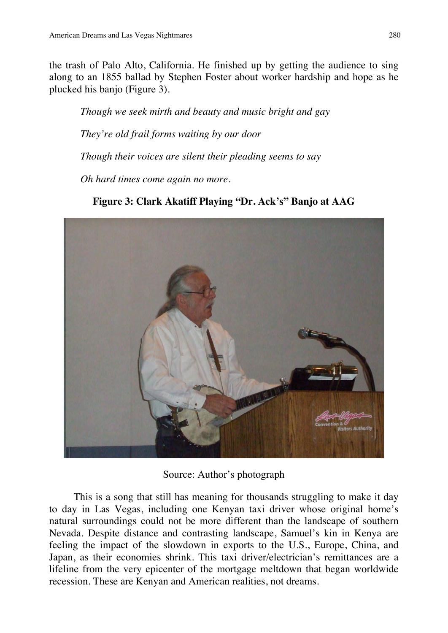the trash of Palo Alto, California. He finished up by getting the audience to sing along to an 1855 ballad by Stephen Foster about worker hardship and hope as he plucked his banjo (Figure 3).

*Though we seek mirth and beauty and music bright and gay They're old frail forms waiting by our door Though their voices are silent their pleading seems to say*

*Oh hard times come again no more.*

**Figure 3: Clark Akatiff Playing "Dr. Ack's" Banjo at AAG**



Source: Author's photograph

This is a song that still has meaning for thousands struggling to make it day to day in Las Vegas, including one Kenyan taxi driver whose original home's natural surroundings could not be more different than the landscape of southern Nevada. Despite distance and contrasting landscape, Samuel's kin in Kenya are feeling the impact of the slowdown in exports to the U.S., Europe, China, and Japan, as their economies shrink. This taxi driver/electrician's remittances are a lifeline from the very epicenter of the mortgage meltdown that began worldwide recession. These are Kenyan and American realities, not dreams.